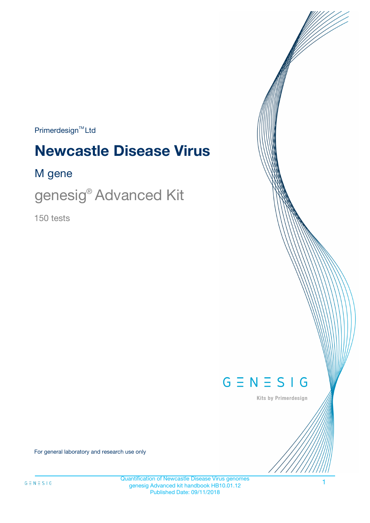$Primerdesign^{\text{TM}}Ltd$ 

# **Newcastle Disease Virus**

### M gene

genesig® Advanced Kit

150 tests



Kits by Primerdesign

For general laboratory and research use only

Quantification of Newcastle Disease Virus genomes genesig Advanced kit handbook HB10.01.12 Published Date: 09/11/2018

1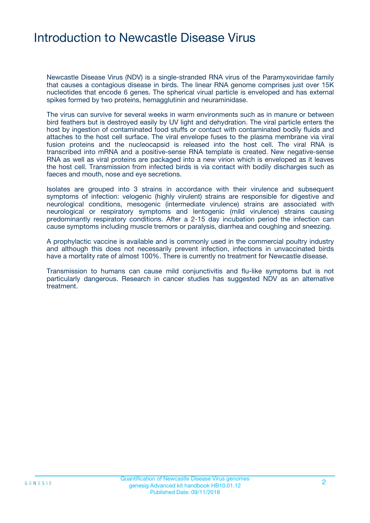# Introduction to Newcastle Disease Virus

Newcastle Disease Virus (NDV) is a single-stranded RNA virus of the Paramyxoviridae family that causes a contagious disease in birds. The linear RNA genome comprises just over 15K nucleotides that encode 6 genes. The spherical virual particle is enveloped and has external spikes formed by two proteins, hemagglutinin and neuraminidase.

The virus can survive for several weeks in warm environments such as in manure or between bird feathers but is destroyed easily by UV light and dehydration. The viral particle enters the host by ingestion of contaminated food stuffs or contact with contaminated bodily fluids and attaches to the host cell surface. The viral envelope fuses to the plasma membrane via viral fusion proteins and the nucleocapsid is released into the host cell. The viral RNA is transcribed into mRNA and a positive-sense RNA template is created. New negative-sense RNA as well as viral proteins are packaged into a new virion which is enveloped as it leaves the host cell. Transmission from infected birds is via contact with bodily discharges such as faeces and mouth, nose and eye secretions.

Isolates are grouped into 3 strains in accordance with their virulence and subsequent symptoms of infection: velogenic (highly virulent) strains are responsible for digestive and neurological conditions, mesogenic (intermediate virulence) strains are associated with neurological or respiratory symptoms and lentogenic (mild virulence) strains causing predominantly respiratory conditions. After a 2-15 day incubation period the infection can cause symptoms including muscle tremors or paralysis, diarrhea and coughing and sneezing.

A prophylactic vaccine is available and is commonly used in the commercial poultry industry and although this does not necessarily prevent infection, infections in unvaccinated birds have a mortality rate of almost 100%. There is currently no treatment for Newcastle disease.

Transmission to humans can cause mild conjunctivitis and flu-like symptoms but is not particularly dangerous. Research in cancer studies has suggested NDV as an alternative treatment.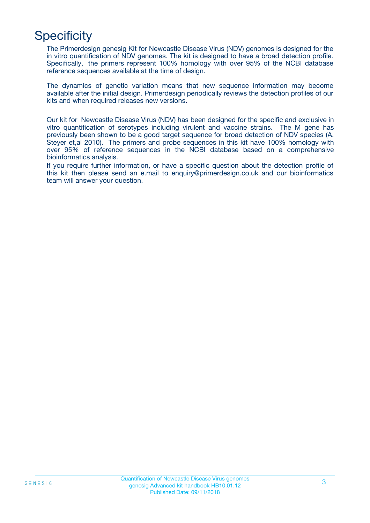# **Specificity**

The Primerdesign genesig Kit for Newcastle Disease Virus (NDV) genomes is designed for the in vitro quantification of NDV genomes. The kit is designed to have a broad detection profile. Specifically, the primers represent 100% homology with over 95% of the NCBI database reference sequences available at the time of design.

The dynamics of genetic variation means that new sequence information may become available after the initial design. Primerdesign periodically reviews the detection profiles of our kits and when required releases new versions.

Our kit for Newcastle Disease Virus (NDV) has been designed for the specific and exclusive in vitro quantification of serotypes including virulent and vaccine strains. The M gene has previously been shown to be a good target sequence for broad detection of NDV species (A. Steyer et,al 2010). The primers and probe sequences in this kit have 100% homology with over 95% of reference sequences in the NCBI database based on a comprehensive bioinformatics analysis.

If you require further information, or have a specific question about the detection profile of this kit then please send an e.mail to enquiry@primerdesign.co.uk and our bioinformatics team will answer your question.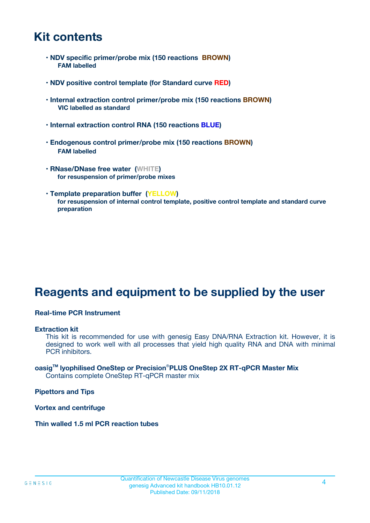# **Kit contents**

- **NDV specific primer/probe mix (150 reactions BROWN) FAM labelled**
- **NDV positive control template (for Standard curve RED)**
- **Internal extraction control primer/probe mix (150 reactions BROWN) VIC labelled as standard**
- **Internal extraction control RNA (150 reactions BLUE)**
- **Endogenous control primer/probe mix (150 reactions BROWN) FAM labelled**
- **RNase/DNase free water (WHITE) for resuspension of primer/probe mixes**
- **Template preparation buffer (YELLOW) for resuspension of internal control template, positive control template and standard curve preparation**

# **Reagents and equipment to be supplied by the user**

#### **Real-time PCR Instrument**

#### **Extraction kit**

This kit is recommended for use with genesig Easy DNA/RNA Extraction kit. However, it is designed to work well with all processes that yield high quality RNA and DNA with minimal PCR inhibitors.

#### **oasigTM lyophilised OneStep or Precision**®**PLUS OneStep 2X RT-qPCR Master Mix** Contains complete OneStep RT-qPCR master mix

**Pipettors and Tips**

**Vortex and centrifuge**

**Thin walled 1.5 ml PCR reaction tubes**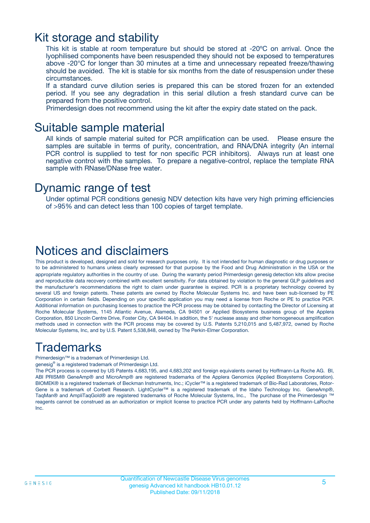# Kit storage and stability

This kit is stable at room temperature but should be stored at -20ºC on arrival. Once the lyophilised components have been resuspended they should not be exposed to temperatures above -20°C for longer than 30 minutes at a time and unnecessary repeated freeze/thawing should be avoided. The kit is stable for six months from the date of resuspension under these circumstances.

If a standard curve dilution series is prepared this can be stored frozen for an extended period. If you see any degradation in this serial dilution a fresh standard curve can be prepared from the positive control.

Primerdesign does not recommend using the kit after the expiry date stated on the pack.

### Suitable sample material

All kinds of sample material suited for PCR amplification can be used. Please ensure the samples are suitable in terms of purity, concentration, and RNA/DNA integrity (An internal PCR control is supplied to test for non specific PCR inhibitors). Always run at least one negative control with the samples. To prepare a negative-control, replace the template RNA sample with RNase/DNase free water.

### Dynamic range of test

Under optimal PCR conditions genesig NDV detection kits have very high priming efficiencies of >95% and can detect less than 100 copies of target template.

# Notices and disclaimers

This product is developed, designed and sold for research purposes only. It is not intended for human diagnostic or drug purposes or to be administered to humans unless clearly expressed for that purpose by the Food and Drug Administration in the USA or the appropriate regulatory authorities in the country of use. During the warranty period Primerdesign genesig detection kits allow precise and reproducible data recovery combined with excellent sensitivity. For data obtained by violation to the general GLP guidelines and the manufacturer's recommendations the right to claim under guarantee is expired. PCR is a proprietary technology covered by several US and foreign patents. These patents are owned by Roche Molecular Systems Inc. and have been sub-licensed by PE Corporation in certain fields. Depending on your specific application you may need a license from Roche or PE to practice PCR. Additional information on purchasing licenses to practice the PCR process may be obtained by contacting the Director of Licensing at Roche Molecular Systems, 1145 Atlantic Avenue, Alameda, CA 94501 or Applied Biosystems business group of the Applera Corporation, 850 Lincoln Centre Drive, Foster City, CA 94404. In addition, the 5' nuclease assay and other homogeneous amplification methods used in connection with the PCR process may be covered by U.S. Patents 5,210,015 and 5,487,972, owned by Roche Molecular Systems, Inc, and by U.S. Patent 5,538,848, owned by The Perkin-Elmer Corporation.

# Trademarks

Primerdesign™ is a trademark of Primerdesign Ltd.

genesig® is a registered trademark of Primerdesign Ltd.

The PCR process is covered by US Patents 4,683,195, and 4,683,202 and foreign equivalents owned by Hoffmann-La Roche AG. BI, ABI PRISM® GeneAmp® and MicroAmp® are registered trademarks of the Applera Genomics (Applied Biosystems Corporation). BIOMEK® is a registered trademark of Beckman Instruments, Inc.; iCycler™ is a registered trademark of Bio-Rad Laboratories, Rotor-Gene is a trademark of Corbett Research. LightCycler™ is a registered trademark of the Idaho Technology Inc. GeneAmp®, TaqMan® and AmpliTaqGold® are registered trademarks of Roche Molecular Systems, Inc., The purchase of the Primerdesign ™ reagents cannot be construed as an authorization or implicit license to practice PCR under any patents held by Hoffmann-LaRoche Inc.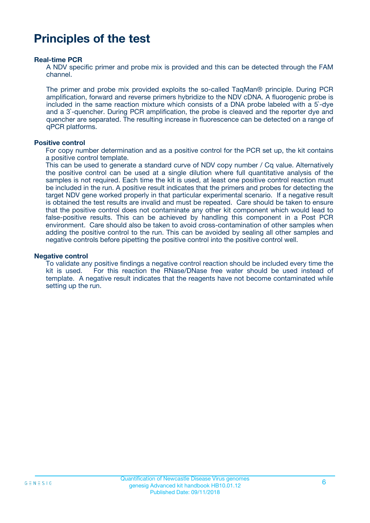# **Principles of the test**

#### **Real-time PCR**

A NDV specific primer and probe mix is provided and this can be detected through the FAM channel.

The primer and probe mix provided exploits the so-called TaqMan® principle. During PCR amplification, forward and reverse primers hybridize to the NDV cDNA. A fluorogenic probe is included in the same reaction mixture which consists of a DNA probe labeled with a 5`-dye and a 3`-quencher. During PCR amplification, the probe is cleaved and the reporter dye and quencher are separated. The resulting increase in fluorescence can be detected on a range of qPCR platforms.

#### **Positive control**

For copy number determination and as a positive control for the PCR set up, the kit contains a positive control template.

This can be used to generate a standard curve of NDV copy number / Cq value. Alternatively the positive control can be used at a single dilution where full quantitative analysis of the samples is not required. Each time the kit is used, at least one positive control reaction must be included in the run. A positive result indicates that the primers and probes for detecting the target NDV gene worked properly in that particular experimental scenario. If a negative result is obtained the test results are invalid and must be repeated. Care should be taken to ensure that the positive control does not contaminate any other kit component which would lead to false-positive results. This can be achieved by handling this component in a Post PCR environment. Care should also be taken to avoid cross-contamination of other samples when adding the positive control to the run. This can be avoided by sealing all other samples and negative controls before pipetting the positive control into the positive control well.

#### **Negative control**

To validate any positive findings a negative control reaction should be included every time the kit is used. For this reaction the RNase/DNase free water should be used instead of template. A negative result indicates that the reagents have not become contaminated while setting up the run.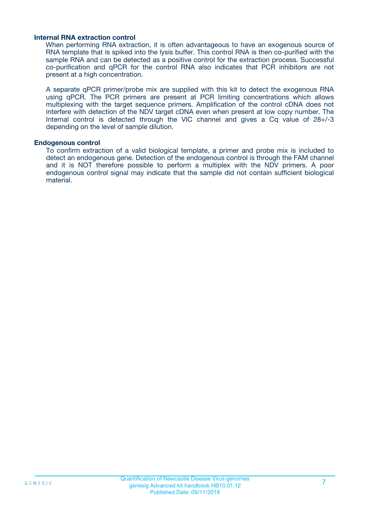#### **Internal RNA extraction control**

When performing RNA extraction, it is often advantageous to have an exogenous source of RNA template that is spiked into the lysis buffer. This control RNA is then co-purified with the sample RNA and can be detected as a positive control for the extraction process. Successful co-purification and qPCR for the control RNA also indicates that PCR inhibitors are not present at a high concentration.

A separate qPCR primer/probe mix are supplied with this kit to detect the exogenous RNA using qPCR. The PCR primers are present at PCR limiting concentrations which allows multiplexing with the target sequence primers. Amplification of the control cDNA does not interfere with detection of the NDV target cDNA even when present at low copy number. The Internal control is detected through the VIC channel and gives a Cq value of 28+/-3 depending on the level of sample dilution.

#### **Endogenous control**

To confirm extraction of a valid biological template, a primer and probe mix is included to detect an endogenous gene. Detection of the endogenous control is through the FAM channel and it is NOT therefore possible to perform a multiplex with the NDV primers. A poor endogenous control signal may indicate that the sample did not contain sufficient biological material.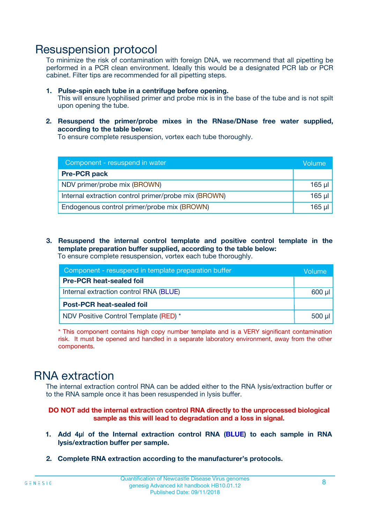# Resuspension protocol

To minimize the risk of contamination with foreign DNA, we recommend that all pipetting be performed in a PCR clean environment. Ideally this would be a designated PCR lab or PCR cabinet. Filter tips are recommended for all pipetting steps.

- **1. Pulse-spin each tube in a centrifuge before opening.** This will ensure lyophilised primer and probe mix is in the base of the tube and is not spilt upon opening the tube.
- **2. Resuspend the primer/probe mixes in the RNase/DNase free water supplied, according to the table below:**

To ensure complete resuspension, vortex each tube thoroughly.

| Component - resuspend in water                       |          |  |
|------------------------------------------------------|----------|--|
| <b>Pre-PCR pack</b>                                  |          |  |
| NDV primer/probe mix (BROWN)                         | $165$ µl |  |
| Internal extraction control primer/probe mix (BROWN) | $165$ µl |  |
| Endogenous control primer/probe mix (BROWN)          | 165 µl   |  |

**3. Resuspend the internal control template and positive control template in the template preparation buffer supplied, according to the table below:** To ensure complete resuspension, vortex each tube thoroughly.

| Component - resuspend in template preparation buffer |             |  |  |
|------------------------------------------------------|-------------|--|--|
| <b>Pre-PCR heat-sealed foil</b>                      |             |  |  |
| Internal extraction control RNA (BLUE)               |             |  |  |
| <b>Post-PCR heat-sealed foil</b>                     |             |  |  |
| NDV Positive Control Template (RED) *                | $500$ $\mu$ |  |  |

\* This component contains high copy number template and is a VERY significant contamination risk. It must be opened and handled in a separate laboratory environment, away from the other components.

# RNA extraction

The internal extraction control RNA can be added either to the RNA lysis/extraction buffer or to the RNA sample once it has been resuspended in lysis buffer.

#### **DO NOT add the internal extraction control RNA directly to the unprocessed biological sample as this will lead to degradation and a loss in signal.**

- **1. Add 4µ**l **of the Internal extraction control RNA (BLUE) to each sample in RNA lysis/extraction buffer per sample.**
- **2. Complete RNA extraction according to the manufacturer's protocols.**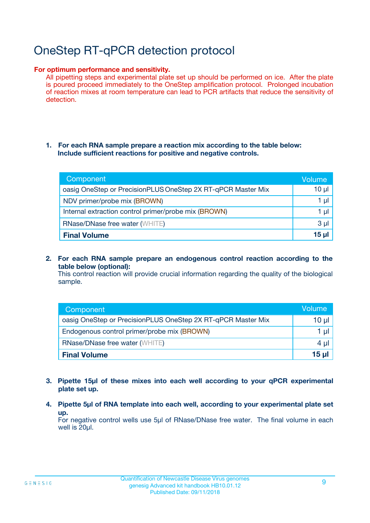# OneStep RT-qPCR detection protocol

#### **For optimum performance and sensitivity.**

All pipetting steps and experimental plate set up should be performed on ice. After the plate is poured proceed immediately to the OneStep amplification protocol. Prolonged incubation of reaction mixes at room temperature can lead to PCR artifacts that reduce the sensitivity of detection.

#### **1. For each RNA sample prepare a reaction mix according to the table below: Include sufficient reactions for positive and negative controls.**

| Component                                                    | <b>Volume</b> |
|--------------------------------------------------------------|---------------|
| oasig OneStep or PrecisionPLUS OneStep 2X RT-qPCR Master Mix | $10 \mu$      |
| NDV primer/probe mix (BROWN)                                 | 1 µI          |
| Internal extraction control primer/probe mix (BROWN)         | 1 µI          |
| <b>RNase/DNase free water (WHITE)</b>                        | $3 \mu$       |
| <b>Final Volume</b>                                          | 15 µl         |

**2. For each RNA sample prepare an endogenous control reaction according to the table below (optional):**

This control reaction will provide crucial information regarding the quality of the biological sample.

| Component                                                    | Volume          |
|--------------------------------------------------------------|-----------------|
| oasig OneStep or PrecisionPLUS OneStep 2X RT-qPCR Master Mix | 10 µl           |
| Endogenous control primer/probe mix (BROWN)                  | 1 µl            |
| <b>RNase/DNase free water (WHITE)</b>                        | $4 \mu$         |
| <b>Final Volume</b>                                          | $15$ µl $\vert$ |

- **3. Pipette 15µl of these mixes into each well according to your qPCR experimental plate set up.**
- **4. Pipette 5µl of RNA template into each well, according to your experimental plate set up.**

For negative control wells use 5µl of RNase/DNase free water. The final volume in each well is 20µl.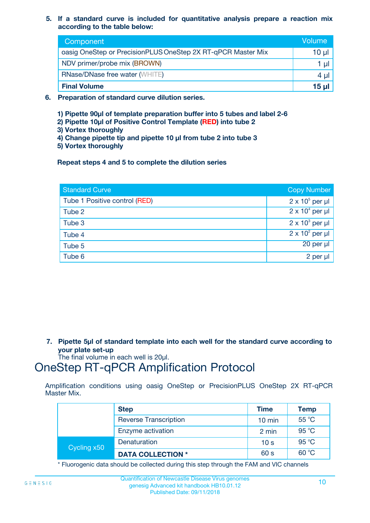**5. If a standard curve is included for quantitative analysis prepare a reaction mix according to the table below:**

| Component                                                    | Volume |
|--------------------------------------------------------------|--------|
| oasig OneStep or PrecisionPLUS OneStep 2X RT-qPCR Master Mix | 10 µl  |
| NDV primer/probe mix (BROWN)                                 |        |
| <b>RNase/DNase free water (WHITE)</b>                        | 4 µl   |
| <b>Final Volume</b>                                          | 15 µl  |

- **6. Preparation of standard curve dilution series.**
	- **1) Pipette 90µl of template preparation buffer into 5 tubes and label 2-6**
	- **2) Pipette 10µl of Positive Control Template (RED) into tube 2**
	- **3) Vortex thoroughly**
	- **4) Change pipette tip and pipette 10 µl from tube 2 into tube 3**
	- **5) Vortex thoroughly**

**Repeat steps 4 and 5 to complete the dilution series**

| <b>Standard Curve</b>         | <b>Copy Number</b>     |
|-------------------------------|------------------------|
| Tube 1 Positive control (RED) | $2 \times 10^5$ per µl |
| Tube 2                        | $2 \times 10^4$ per µl |
| Tube 3                        | $2 \times 10^3$ per µl |
| Tube 4                        | $2 \times 10^2$ per µl |
| Tube 5                        | 20 per µl              |
| Tube 6                        | $2$ per $\mu$          |

**7. Pipette 5µl of standard template into each well for the standard curve according to your plate set-up**

The final volume in each well is 20µl.

# OneStep RT-qPCR Amplification Protocol

Amplification conditions using oasig OneStep or PrecisionPLUS OneStep 2X RT-qPCR Master Mix.

|             | <b>Step</b>                  | <b>Time</b>      | <b>Temp</b> |
|-------------|------------------------------|------------------|-------------|
|             | <b>Reverse Transcription</b> | $10 \text{ min}$ | 55 °C       |
|             | Enzyme activation            | 2 min            | 95 °C       |
| Cycling x50 | Denaturation                 | 10 <sub>s</sub>  | 95 °C       |
|             | <b>DATA COLLECTION *</b>     | 60 s             | 60 °C       |

\* Fluorogenic data should be collected during this step through the FAM and VIC channels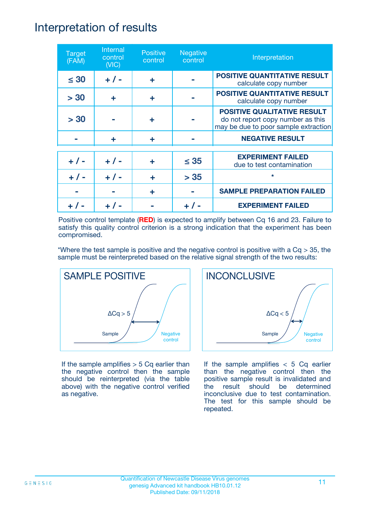# Interpretation of results

| <b>Target</b><br>(FAM) | Internal<br>control<br>(NIC) | <b>Positive</b><br>control | <b>Negative</b><br>control | Interpretation                                                                                                  |
|------------------------|------------------------------|----------------------------|----------------------------|-----------------------------------------------------------------------------------------------------------------|
| $\leq 30$              | $+ 1 -$                      | ÷                          |                            | <b>POSITIVE QUANTITATIVE RESULT</b><br>calculate copy number                                                    |
| > 30                   | ÷                            | ÷                          |                            | <b>POSITIVE QUANTITATIVE RESULT</b><br>calculate copy number                                                    |
| > 30                   |                              | ÷                          |                            | <b>POSITIVE QUALITATIVE RESULT</b><br>do not report copy number as this<br>may be due to poor sample extraction |
|                        | ÷                            | ÷                          |                            | <b>NEGATIVE RESULT</b>                                                                                          |
| $+ 1 -$                | $+ 1 -$                      | ÷                          | $\leq$ 35                  | <b>EXPERIMENT FAILED</b><br>due to test contamination                                                           |
|                        | $+$ / -                      |                            | > 35                       | $\star$                                                                                                         |
|                        |                              | ÷                          |                            | <b>SAMPLE PREPARATION FAILED</b>                                                                                |
|                        |                              |                            |                            | <b>EXPERIMENT FAILED</b>                                                                                        |

Positive control template (**RED**) is expected to amplify between Cq 16 and 23. Failure to satisfy this quality control criterion is a strong indication that the experiment has been compromised.

\*Where the test sample is positive and the negative control is positive with a  $Cq > 35$ , the sample must be reinterpreted based on the relative signal strength of the two results:



If the sample amplifies  $> 5$  Cq earlier than the negative control then the sample should be reinterpreted (via the table above) with the negative control verified as negative.



If the sample amplifies  $< 5$  Cq earlier than the negative control then the positive sample result is invalidated and the result should be determined inconclusive due to test contamination. The test for this sample should be repeated.